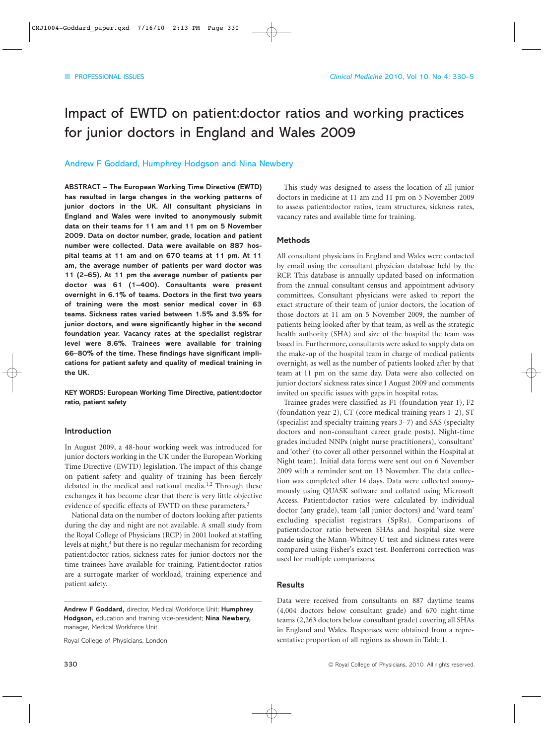## Impact of EWTD on patient:doctor ratios and working practices for junior doctors in England and Wales 2009

#### Andrew F Goddard, Humphrey Hodgson and Nina Newbery

**ABSTRACT – The European Working Time Directive (EWTD) has resulted in large changes in the working patterns of junior doctors in the UK. All consultant physicians in England and Wales were invited to anonymously submit data on their teams for 11 am and 11 pm on 5 November 2009. Data on doctor number, grade, location and patient number were collected. Data were available on 887 hospital teams at 11 am and on 670 teams at 11 pm. At 11 am, the average number of patients per ward doctor was 11 (2–65). At 11 pm the average number of patients per doctor was 61 (1–400). Consultants were present overnight in 6.1% of teams. Doctors in the first two years of training were the most senior medical cover in 63 teams. Sickness rates varied between 1.5% and 3.5% for junior doctors, and were significantly higher in the second foundation year. Vacancy rates at the specialist registrar level were 8.6%. Trainees were available for training 66–80% of the time. These findings have significant implications for patient safety and quality of medical training in the UK.**

**KEY WORDS: European Working Time Directive, patient:doctor ratio, patient safety**

#### **Introduction**

In August 2009, a 48-hour working week was introduced for junior doctors working in the UK under the European Working Time Directive (EWTD) legislation. The impact of this change on patient safety and quality of training has been fiercely debated in the medical and national media.<sup>1,2</sup> Through these exchanges it has become clear that there is very little objective evidence of specific effects of EWTD on these parameters.<sup>3</sup>

National data on the number of doctors looking after patients during the day and night are not available. A small study from the Royal College of Physicians (RCP) in 2001 looked at staffing levels at night,<sup>4</sup> but there is no regular mechanism for recording patient:doctor ratios, sickness rates for junior doctors nor the time trainees have available for training. Patient:doctor ratios are a surrogate marker of workload, training experience and patient safety.

**Andrew F Goddard,** director, Medical Workforce Unit; **Humphrey Hodgson,** education and training vice-president; **Nina Newbery,** manager, Medical Workforce Unit

Royal College of Physicians, London

This study was designed to assess the location of all junior doctors in medicine at 11 am and 11 pm on 5 November 2009 to assess patient:doctor ratios, team structures, sickness rates, vacancy rates and available time for training.

#### **Methods**

All consultant physicians in England and Wales were contacted by email using the consultant physician database held by the RCP. This database is annually updated based on information from the annual consultant census and appointment advisory committees. Consultant physicians were asked to report the exact structure of their team of junior doctors, the location of those doctors at 11 am on 5 November 2009, the number of patients being looked after by that team, as well as the strategic health authority (SHA) and size of the hospital the team was based in. Furthermore, consultants were asked to supply data on the make-up of the hospital team in charge of medical patients overnight, as well as the number of patients looked after by that team at 11 pm on the same day. Data were also collected on junior doctors' sickness rates since 1 August 2009 and comments invited on specific issues with gaps in hospital rotas.

Trainee grades were classified as F1 (foundation year 1), F2 (foundation year 2), CT (core medical training years 1–2), ST (specialist and specialty training years 3–7) and SAS (specialty doctors and non-consultant career grade posts). Night-time grades included NNPs (night nurse practitioners), 'consultant' and 'other' (to cover all other personnel within the Hospital at Night team). Initial data forms were sent out on 6 November 2009 with a reminder sent on 13 November. The data collection was completed after 14 days. Data were collected anonymously using QUASK software and collated using Microsoft Access. Patient:doctor ratios were calculated by individual doctor (any grade), team (all junior doctors) and 'ward team' excluding specialist registrars (SpRs). Comparisons of patient:doctor ratio between SHAs and hospital size were made using the Mann-Whitney U test and sickness rates were compared using Fisher's exact test. Bonferroni correction was used for multiple comparisons.

#### **Results**

Data were received from consultants on 887 daytime teams (4,004 doctors below consultant grade) and 670 night-time teams (2,263 doctors below consultant grade) covering all SHAs in England and Wales. Responses were obtained from a representative proportion of all regions as shown in Table 1.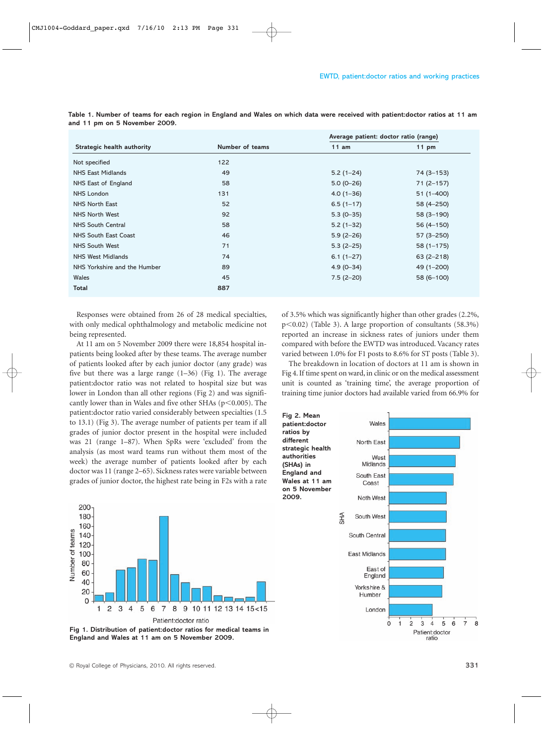| 11 am<br>$5.2(1 - 24)$<br>$5.0(0-26)$ | $11 \text{ pm}$<br>74 (3–153) |
|---------------------------------------|-------------------------------|
|                                       |                               |
|                                       |                               |
|                                       |                               |
|                                       | $71(2-157)$                   |
| $4.0(1 - 36)$                         | $51(1-400)$                   |
| $6.5(1-17)$                           | 58 (4 - 250)                  |
| $5.3(0-35)$                           | 58 (3-190)                    |
| $5.2(1-32)$                           | 56 (4 - 150)                  |
| $5.9(2-26)$                           | $57(3 - 250)$                 |
| $5.3(2-25)$                           | $58(1 - 175)$                 |
| $6.1(1 - 27)$                         | $63(2 - 218)$                 |
| $4.9(0-34)$                           | 49 (1-200)                    |
| $7.5(2-20)$                           | 58 (6-100)                    |
|                                       |                               |
|                                       |                               |

**Table 1. Number of teams for each region in England and Wales on which data were received with patient:doctor ratios at 11 am and 11 pm on 5 November 2009.**

Responses were obtained from 26 of 28 medical specialties, with only medical ophthalmology and metabolic medicine not being represented.

At 11 am on 5 November 2009 there were 18,854 hospital inpatients being looked after by these teams. The average number of patients looked after by each junior doctor (any grade) was five but there was a large range  $(1-36)$  (Fig 1). The average patient:doctor ratio was not related to hospital size but was lower in London than all other regions (Fig 2) and was significantly lower than in Wales and five other SHAs ( $p$ <0.005). The patient:doctor ratio varied considerably between specialties (1.5 to 13.1) (Fig 3). The average number of patients per team if all grades of junior doctor present in the hospital were included was 21 (range 1–87). When SpRs were 'excluded' from the analysis (as most ward teams run without them most of the week) the average number of patients looked after by each doctor was 11 (range 2–65). Sickness rates were variable between grades of junior doctor, the highest rate being in F2s with a rate



**Fig 1. Distribution of patient:doctor ratios for medical teams in England and Wales at 11 am on 5 November 2009.**

of 3.5% which was significantly higher than other grades (2.2%, p-0.02) (Table 3). A large proportion of consultants (58.3%) reported an increase in sickness rates of juniors under them compared with before the EWTD was introduced. Vacancy rates varied between 1.0% for F1 posts to 8.6% for ST posts (Table 3).

The breakdown in location of doctors at 11 am is shown in Fig 4. If time spent on ward, in clinic or on the medical assessment unit is counted as 'training time', the average proportion of training time junior doctors had available varied from 66.9% for

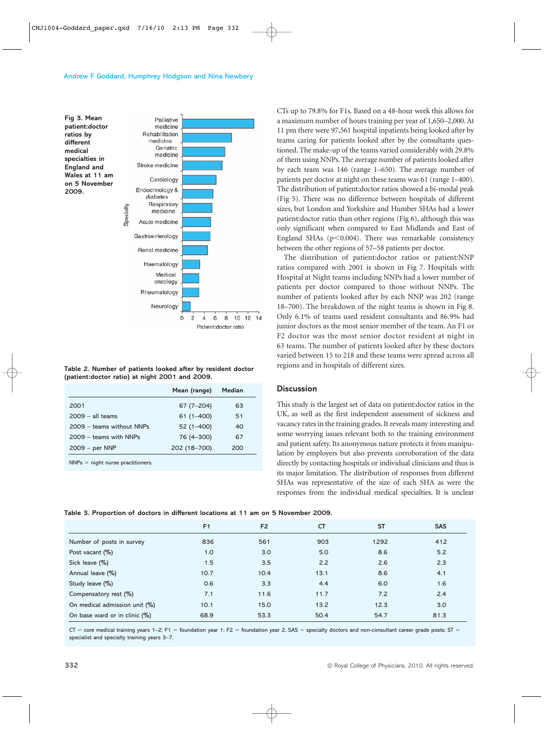

**Table 2. Number of patients looked after by resident doctor (patient:doctor ratio) at night 2001 and 2009.**

|                           | Mean (range)  | Median |
|---------------------------|---------------|--------|
| 2001                      | $67(7-204)$   | 63     |
| $2009 - all teams$        | $61(1 - 400)$ | 51     |
| 2009 - teams without NNPs | $52(1 - 400)$ | 40     |
| $2009 -$ teams with NNPs  | 76 (4-300)    | 67     |
| $2009 - per NNP$          | 202 (18-700)  | 200    |

 $NNPs =$  night nurse practitioners.

CTs up to 79.8% for F1s. Based on a 48-hour week this allows for a maximum number of hours training per year of 1,650–2,000. At 11 pm there were 97,561 hospital inpatients being looked after by teams caring for patients looked after by the consultants questioned. The make-up of the teams varied considerably with 29.8% of them using NNPs. The average number of patients looked after by each team was 146 (range 1–650). The average number of patients per doctor at night on these teams was 61 (range 1–400). The distribution of patient:doctor ratios showed a bi-modal peak (Fig 5). There was no difference between hospitals of different sizes, but London and Yorkshire and Humber SHAs had a lower patient:doctor ratio than other regions (Fig 6), although this was only significant when compared to East Midlands and East of England SHAs ( $p$ <0.004). There was remarkable consistency between the other regions of 57–58 patients per doctor.

The distribution of patient:doctor ratios or patient:NNP ratios compared with 2001 is shown in Fig 7. Hospitals with Hospital at Night teams including NNPs had a lower number of patients per doctor compared to those without NNPs. The number of patients looked after by each NNP was 202 (range 18–700). The breakdown of the night teams is shown in Fig 8. Only 6.1% of teams used resident consultants and 86.9% had junior doctors as the most senior member of the team. An F1 or F2 doctor was the most senior doctor resident at night in 63 teams. The number of patients looked after by these doctors varied between 15 to 218 and these teams were spread across all regions and in hospitals of different sizes.

#### **Discussion**

This study is the largest set of data on patient:doctor ratios in the UK, as well as the first independent assessment of sickness and vacancy rates in the training grades. It reveals many interesting and some worrying issues relevant both to the training environment and patient safety. Its anonymous nature protects it from manipulation by employers but also prevents corroboration of the data directly by contacting hospitals or individual clinicians and thus is its major limitation. The distribution of responses from different SHAs was representative of the size of each SHA as were the responses from the individual medical specialties. It is unclear

|  |  |  | Table 3. Proportion of doctors in different locations at 11 am on 5 November 2009. |  |  |  |
|--|--|--|------------------------------------------------------------------------------------|--|--|--|
|--|--|--|------------------------------------------------------------------------------------|--|--|--|

|                               | F1   | F <sub>2</sub> | <b>CT</b> | <b>ST</b> | <b>SAS</b> |
|-------------------------------|------|----------------|-----------|-----------|------------|
| Number of posts in survey     | 836  | 561            | 903       | 1292      | 412        |
| Post vacant (%)               | 1.0  | 3.0            | 5.0       | 8.6       | 5.2        |
| Sick leave (%)                | 1.5  | 3.5            | 2.2       | 2.6       | 2.3        |
| Annual leave (%)              | 10.7 | 10.4           | 13.1      | 8.6       | 4.1        |
| Study leave (%)               | 0.6  | 3.3            | 4.4       | 6.0       | 1.6        |
| Compensatory rest (%)         | 7.1  | 11.6           | 11.7      | 7.2       | 2.4        |
| On medical admission unit (%) | 10.1 | 15.0           | 13.2      | 12.3      | 3.0        |
| On base ward or in clinic (%) | 68.9 | 53.3           | 50.4      | 54.7      | 81.3       |

 $CT =$  core medical training years 1–2; F1 = foundation year 1; F2 = foundation year 2; SAS = specialty doctors and non-consultant career grade posts; ST = specialist and specialty training years 3–7.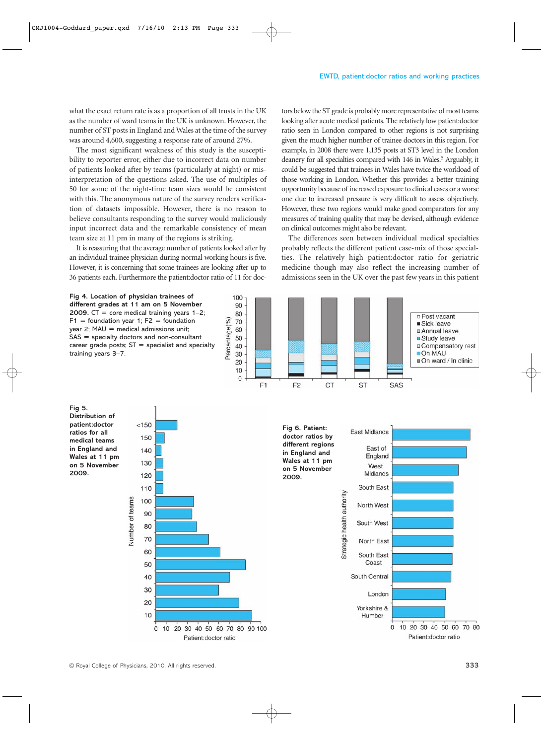what the exact return rate is as a proportion of all trusts in the UK as the number of ward teams in the UK is unknown. However, the number of ST posts in England and Wales at the time of the survey was around 4,600, suggesting a response rate of around 27%.

The most significant weakness of this study is the susceptibility to reporter error, either due to incorrect data on number of patients looked after by teams (particularly at night) or misinterpretation of the questions asked. The use of multiples of 50 for some of the night-time team sizes would be consistent with this. The anonymous nature of the survey renders verification of datasets impossible. However, there is no reason to believe consultants responding to the survey would maliciously input incorrect data and the remarkable consistency of mean team size at 11 pm in many of the regions is striking.

It is reassuring that the average number of patients looked after by an individual trainee physician during normal working hours is five. However, it is concerning that some trainees are looking after up to 36 patients each. Furthermore the patient:doctor ratio of 11 for doctors below the ST grade is probably more representative of most teams looking after acute medical patients. The relatively low patient:doctor ratio seen in London compared to other regions is not surprising given the much higher number of trainee doctors in this region. For example, in 2008 there were 1,135 posts at ST3 level in the London deanery for all specialties compared with 146 in Wales.<sup>5</sup> Arguably, it could be suggested that trainees in Wales have twice the workload of those working in London. Whether this provides a better training opportunity because of increased exposure to clinical cases or a worse one due to increased pressure is very difficult to assess objectively. However, these two regions would make good comparators for any measures of training quality that may be devised, although evidence on clinical outcomes might also be relevant.

The differences seen between individual medical specialties probably reflects the different patient case-mix of those specialties. The relatively high patient:doctor ratio for geriatric medicine though may also reflect the increasing number of admissions seen in the UK over the past few years in this patient

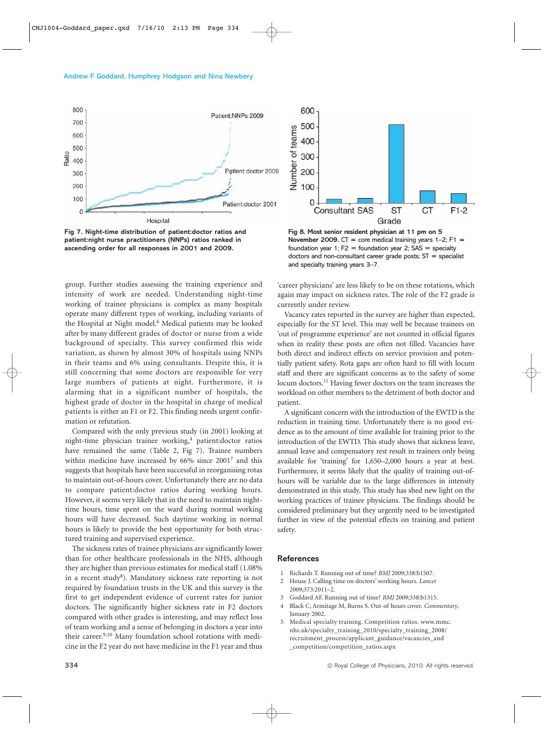

**Fig 7. Night-time distribution of patient:doctor ratios and patient:night nurse practitioners (NNPs) ratios ranked in ascending order for all responses in 2001 and 2009.** 

**Fig 8. Most senior resident physician at 11 pm on 5 November 2009.**  $CT = core$  medical training years  $1-2$ ;  $F1 =$ foundation year 1;  $F2 =$  foundation year 2;  $SAS =$  specialty doctors and non-consultant career grade posts;  $ST =$  specialist and specialty training years 3–7.

group. Further studies assessing the training experience and intensity of work are needed. Understanding night-time working of trainee physicians is complex as many hospitals operate many different types of working, including variants of the Hospital at Night model.<sup>6</sup> Medical patients may be looked after by many different grades of doctor or nurse from a wide background of specialty. This survey confirmed this wide variation, as shown by almost 30% of hospitals using NNPs in their teams and 6% using consultants. Despite this, it is still concerning that some doctors are responsible for very large numbers of patients at night. Furthermore, it is alarming that in a significant number of hospitals, the highest grade of doctor in the hospital in charge of medical patients is either an F1 or F2. This finding needs urgent confirmation or refutation.

Compared with the only previous study (in 2001) looking at night-time physician trainee working,<sup>4</sup> patient:doctor ratios have remained the same (Table 2, Fig 7). Trainee numbers within medicine have increased by 66% since 2001<sup>7</sup> and this suggests that hospitals have been successful in reorganising rotas to maintain out-of-hours cover. Unfortunately there are no data to compare patient:doctor ratios during working hours. However, it seems very likely that in the need to maintain nighttime hours, time spent on the ward during normal working hours will have decreased. Such daytime working in normal hours is likely to provide the best opportunity for both structured training and supervised experience.

The sickness rates of trainee physicians are significantly lower than for other healthcare professionals in the NHS, although they are higher than previous estimates for medical staff (1.08% in a recent study<sup>8</sup>). Mandatory sickness rate reporting is not required by foundation trusts in the UK and this survey is the first to get independent evidence of current rates for junior doctors. The significantly higher sickness rate in F2 doctors compared with other grades is interesting, and may reflect loss of team working and a sense of belonging in doctors a year into their career.<sup>9,10</sup> Many foundation school rotations with medicine in the F2 year do not have medicine in the F1 year and thus

'career physicians' are less likely to be on these rotations, which again may impact on sickness rates. The role of the F2 grade is currently under review.

Vacancy rates reported in the survey are higher than expected, especially for the ST level. This may well be because trainees on 'out of programme experience' are not counted in official figures when in reality these posts are often not filled. Vacancies have both direct and indirect effects on service provision and potentially patient safety. Rota gaps are often hard to fill with locum staff and there are significant concerns as to the safety of some locum doctors.<sup>11</sup> Having fewer doctors on the team increases the workload on other members to the detriment of both doctor and patient.

A significant concern with the introduction of the EWTD is the reduction in training time. Unfortunately there is no good evidence as to the amount of time available for training prior to the introduction of the EWTD. This study shows that sickness leave, annual leave and compensatory rest result in trainees only being available for 'training' for 1,650–2,000 hours a year at best. Furthermore, it seems likely that the quality of training out-ofhours will be variable due to the large differences in intensity demonstrated in this study. This study has shed new light on the working practices of trainee physicians. The findings should be considered preliminary but they urgently need to be investigated further in view of the potential effects on training and patient safety.

#### **References**

- 1 Richards T. Running out of time? *BMJ* 2009;338:b1507.
- 2 House J. Calling time on doctors' working hours. *Lancet* 2009;373:2011–2.
- 3 Goddard AF. Running out of time? *BMJ* 2009;338:b1315.
- 4 Black C, Armitage M, Burns S. Out-of hours cover. *Commentary*, January 2002.
- 5 Medical specialty training. Competition ratios. www.mmc. nhs.uk/specialty\_training\_2010/specialty\_training\_2008/ recruitment\_process/applicant\_guidance/vacancies\_and \_competition/competition\_ratios.aspx